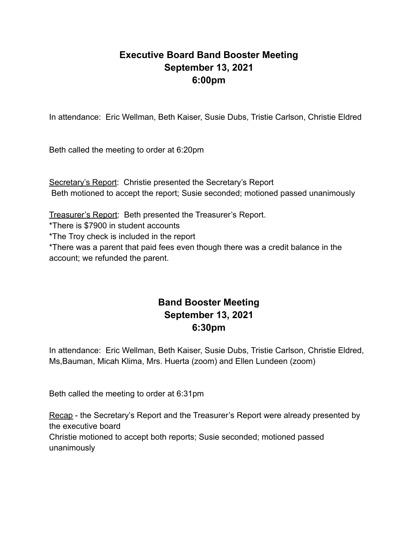## **Executive Board Band Booster Meeting September 13, 2021 6:00pm**

In attendance: Eric Wellman, Beth Kaiser, Susie Dubs, Tristie Carlson, Christie Eldred

Beth called the meeting to order at 6:20pm

Secretary's Report: Christie presented the Secretary's Report Beth motioned to accept the report; Susie seconded; motioned passed unanimously

Treasurer's Report: Beth presented the Treasurer's Report.

\*There is \$7900 in student accounts

\*The Troy check is included in the report

\*There was a parent that paid fees even though there was a credit balance in the account; we refunded the parent.

## **Band Booster Meeting September 13, 2021 6:30pm**

In attendance: Eric Wellman, Beth Kaiser, Susie Dubs, Tristie Carlson, Christie Eldred, Ms,Bauman, Micah Klima, Mrs. Huerta (zoom) and Ellen Lundeen (zoom)

Beth called the meeting to order at 6:31pm

Recap - the Secretary's Report and the Treasurer's Report were already presented by the executive board Christie motioned to accept both reports; Susie seconded; motioned passed unanimously